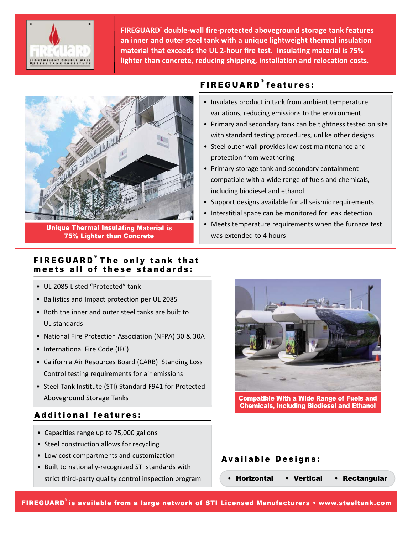

**FIREGUARD® double‐wall fire‐protected aboveground storage tank features an inner and outer steel tank with a unique lightweight thermal insulation material that exceeds the UL 2‐hour fire test. Insulating material is 75% lighter than concrete, reducing shipping, installation and relocation costs.**



Unique Thermal Insulating Material is 75% Lighter than Concrete

# FIREGUARD<sup>®</sup> features:

- Insulates product in tank from ambient temperature variations, reducing emissions to the environment
- Primary and secondary tank can be tightness tested on site with standard testing procedures, unlike other designs
- Steel outer wall provides low cost maintenance and protection from weathering
- Primary storage tank and secondary containment compatible with a wide range of fuels and chemicals, including biodiesel and ethanol
- Support designs available for all seismic requirements
- Interstitial space can be monitored for leak detection
- Meets temperature requirements when the furnace test was extended to 4 hours

### FIREGUARD<sup>®</sup>The only tank that meets all of these standards:

- UL 2085 Listed "Protected" tank
- Ballistics and Impact protection per UL 2085
- Both the inner and outer steel tanks are built to UL standards
- National Fire Protection Association (NFPA) 30 & 30A
- International Fire Code (IFC)
- California Air Resources Board (CARB) Standing Loss Control testing requirements for air emissions
- Steel Tank Institute (STI) Standard F941 for Protected Aboveground Storage Tanks

### Additional features:

- Capacities range up to 75,000 gallons
- Steel construction allows for recycling
- Low cost compartments and customization
- Built to nationally‐recognized STI standards with strict third‐party quality control inspection program



Compatible With a Wide Range of Fuels and Chemicals, Including Biodiesel and Ethanol

#### Available Designs:

• Horizontal • Vertical • Rectangular